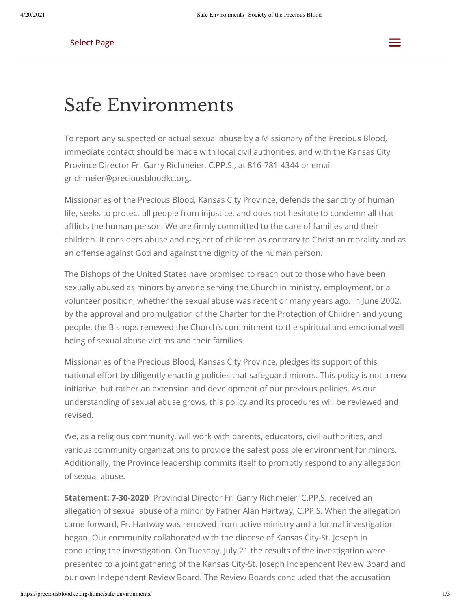## **Select Page** and the control of the control of the control of the control of the control of the control of the control of the control of the control of the control of the control of the control of the control of the cont



## Safe Environments

To report any suspected or actual sexual abuse by a Missionary of the Precious Blood, immediate contact should be made with local civil authorities, and with the Kansas City Province Director Fr. Garry Richmeier, C.PP.S., at 816-781-4344 or email grichmeier@preciousbloodkc.org**.**

Missionaries of the Precious Blood, Kansas City Province, defends the sanctity of human life, seeks to protect all people from injustice, and does not hesitate to condemn all that afflicts the human person. We are firmly committed to the care of families and their children. It considers abuse and neglect of children as contrary to Christian morality and as an offense against God and against the dignity of the human person.

The Bishops of the United States have promised to reach out to those who have been sexually abused as minors by anyone serving the Church in ministry, employment, or a volunteer position, whether the sexual abuse was recent or many years ago. In June 2002, by the approval and promulgation of the Charter for the Protection of Children and young people, the Bishops renewed the Church's commitment to the spiritual and emotional well being of sexual abuse victims and their families.

Missionaries of the Precious Blood, Kansas City Province, pledges its support of this national effort by diligently enacting policies that safeguard minors. This policy is not a new initiative, but rather an extension and development of our previous policies. As our understanding of sexual abuse grows, this policy and its procedures will be reviewed and revised.

We, as a religious community, will work with parents, educators, civil authorities, and various community organizations to provide the safest possible environment for minors. Additionally, the Province leadership commits itself to promptly respond to any allegation of sexual abuse.

**Statement: 7-30-2020**  Provincial Director Fr. Garry Richmeier, C.PP.S. received an allegation of sexual abuse of a minor by Father Alan Hartway, C.PP.S. When the allegation came forward, Fr. Hartway was removed from active ministry and a formal investigation began. Our community collaborated with the diocese of Kansas City-St. Joseph in conducting the investigation. On Tuesday, July 21 the results of the investigation were presented to a joint gathering of the Kansas City-St. Joseph Independent Review Board and our own Independent Review Board. The Review Boards concluded that the accusation